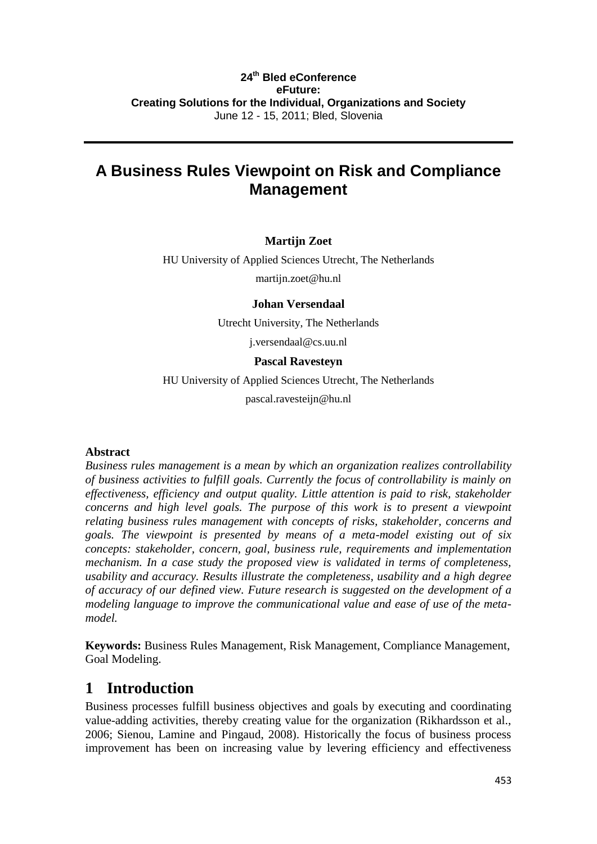### **24th Bled eConference eFuture: Creating Solutions for the Individual, Organizations and Society** June 12 - 15, 2011; Bled, Slovenia

# **A Business Rules Viewpoint on Risk and Compliance Management**

### **Martijn Zoet**

HU University of Applied Sciences Utrecht, The Netherlands

martijn.zoet@hu.nl

### **Johan Versendaal**

Utrecht University, The Netherlands

j.versendaal@cs.uu.nl

### **Pascal Ravesteyn**

HU University of Applied Sciences Utrecht, The Netherlands

pascal.ravesteijn@hu.nl

### **Abstract**

*Business rules management is a mean by which an organization realizes controllability of business activities to fulfill goals. Currently the focus of controllability is mainly on effectiveness, efficiency and output quality. Little attention is paid to risk, stakeholder concerns and high level goals. The purpose of this work is to present a viewpoint relating business rules management with concepts of risks, stakeholder, concerns and goals. The viewpoint is presented by means of a meta-model existing out of six concepts: stakeholder, concern, goal, business rule, requirements and implementation mechanism. In a case study the proposed view is validated in terms of completeness, usability and accuracy. Results illustrate the completeness, usability and a high degree of accuracy of our defined view. Future research is suggested on the development of a modeling language to improve the communicational value and ease of use of the metamodel.* 

**Keywords:** Business Rules Management, Risk Management, Compliance Management, Goal Modeling.

### **1 Introduction**

Business processes fulfill business objectives and goals by executing and coordinating value-adding activities, thereby creating value for the organization (Rikhardsson et al., 2006; Sienou, Lamine and Pingaud, 2008). Historically the focus of business process improvement has been on increasing value by levering efficiency and effectiveness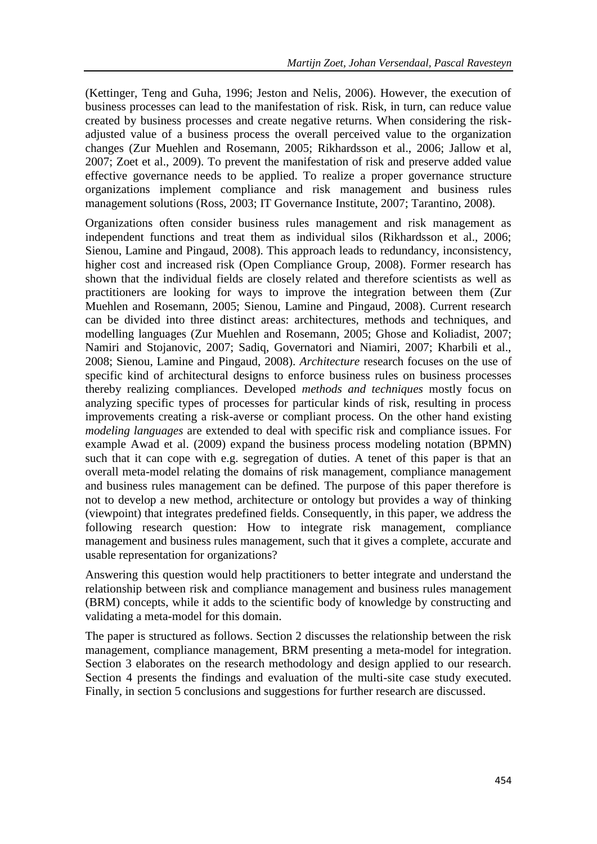(Kettinger, Teng and Guha, 1996; Jeston and Nelis, 2006). However, the execution of business processes can lead to the manifestation of risk. Risk, in turn, can reduce value created by business processes and create negative returns. When considering the riskadjusted value of a business process the overall perceived value to the organization changes (Zur Muehlen and Rosemann, 2005; Rikhardsson et al., 2006; Jallow et al, 2007; Zoet et al., 2009). To prevent the manifestation of risk and preserve added value effective governance needs to be applied. To realize a proper governance structure organizations implement compliance and risk management and business rules management solutions (Ross, 2003; IT Governance Institute, 2007; Tarantino, 2008).

Organizations often consider business rules management and risk management as independent functions and treat them as individual silos (Rikhardsson et al., 2006; Sienou, Lamine and Pingaud, 2008). This approach leads to redundancy, inconsistency, higher cost and increased risk (Open Compliance Group, 2008). Former research has shown that the individual fields are closely related and therefore scientists as well as practitioners are looking for ways to improve the integration between them (Zur Muehlen and Rosemann, 2005; Sienou, Lamine and Pingaud, 2008). Current research can be divided into three distinct areas: architectures, methods and techniques, and modelling languages (Zur Muehlen and Rosemann, 2005; Ghose and Koliadist, 2007; Namiri and Stojanovic, 2007; Sadiq, Governatori and Niamiri, 2007; Kharbili et al., 2008; Sienou, Lamine and Pingaud, 2008). *Architecture* research focuses on the use of specific kind of architectural designs to enforce business rules on business processes thereby realizing compliances. Developed *methods and techniques* mostly focus on analyzing specific types of processes for particular kinds of risk, resulting in process improvements creating a risk-averse or compliant process. On the other hand existing *modeling languages* are extended to deal with specific risk and compliance issues. For example Awad et al. (2009) expand the business process modeling notation (BPMN) such that it can cope with e.g. segregation of duties. A tenet of this paper is that an overall meta-model relating the domains of risk management, compliance management and business rules management can be defined. The purpose of this paper therefore is not to develop a new method, architecture or ontology but provides a way of thinking (viewpoint) that integrates predefined fields. Consequently, in this paper, we address the following research question: How to integrate risk management, compliance management and business rules management, such that it gives a complete, accurate and usable representation for organizations?

Answering this question would help practitioners to better integrate and understand the relationship between risk and compliance management and business rules management (BRM) concepts, while it adds to the scientific body of knowledge by constructing and validating a meta-model for this domain.

The paper is structured as follows. Section 2 discusses the relationship between the risk management, compliance management, BRM presenting a meta-model for integration. Section 3 elaborates on the research methodology and design applied to our research. Section 4 presents the findings and evaluation of the multi-site case study executed. Finally, in section 5 conclusions and suggestions for further research are discussed.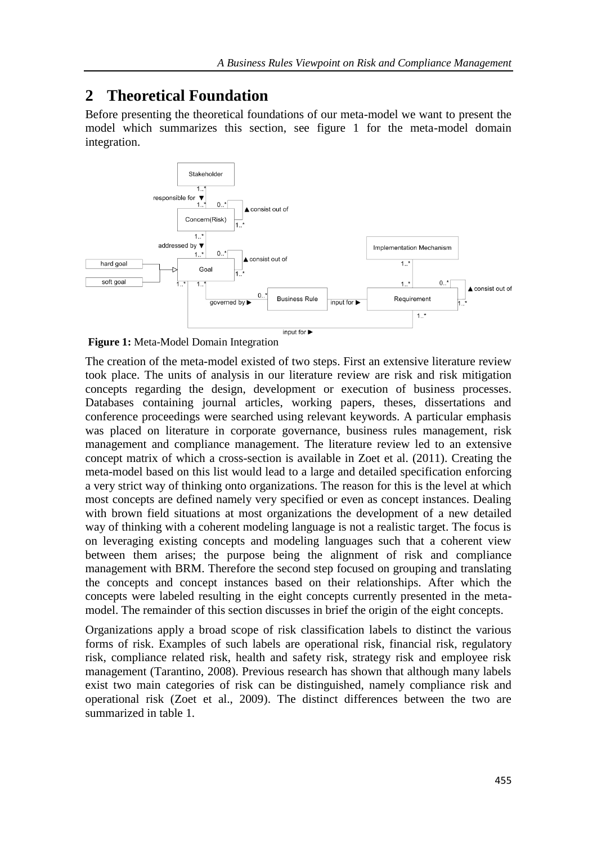## **2 Theoretical Foundation**

Before presenting the theoretical foundations of our meta-model we want to present the model which summarizes this section, see figure 1 for the meta-model domain integration.



**Figure 1:** Meta-Model Domain Integration

The creation of the meta-model existed of two steps. First an extensive literature review took place. The units of analysis in our literature review are risk and risk mitigation concepts regarding the design, development or execution of business processes. Databases containing journal articles, working papers, theses, dissertations and conference proceedings were searched using relevant keywords. A particular emphasis was placed on literature in corporate governance, business rules management, risk management and compliance management. The literature review led to an extensive concept matrix of which a cross-section is available in Zoet et al. (2011). Creating the meta-model based on this list would lead to a large and detailed specification enforcing a very strict way of thinking onto organizations. The reason for this is the level at which most concepts are defined namely very specified or even as concept instances. Dealing with brown field situations at most organizations the development of a new detailed way of thinking with a coherent modeling language is not a realistic target. The focus is on leveraging existing concepts and modeling languages such that a coherent view between them arises; the purpose being the alignment of risk and compliance management with BRM. Therefore the second step focused on grouping and translating the concepts and concept instances based on their relationships. After which the concepts were labeled resulting in the eight concepts currently presented in the metamodel. The remainder of this section discusses in brief the origin of the eight concepts.

Organizations apply a broad scope of risk classification labels to distinct the various forms of risk. Examples of such labels are operational risk, financial risk, regulatory risk, compliance related risk, health and safety risk, strategy risk and employee risk management (Tarantino, 2008). Previous research has shown that although many labels exist two main categories of risk can be distinguished, namely compliance risk and operational risk (Zoet et al., 2009). The distinct differences between the two are summarized in table 1.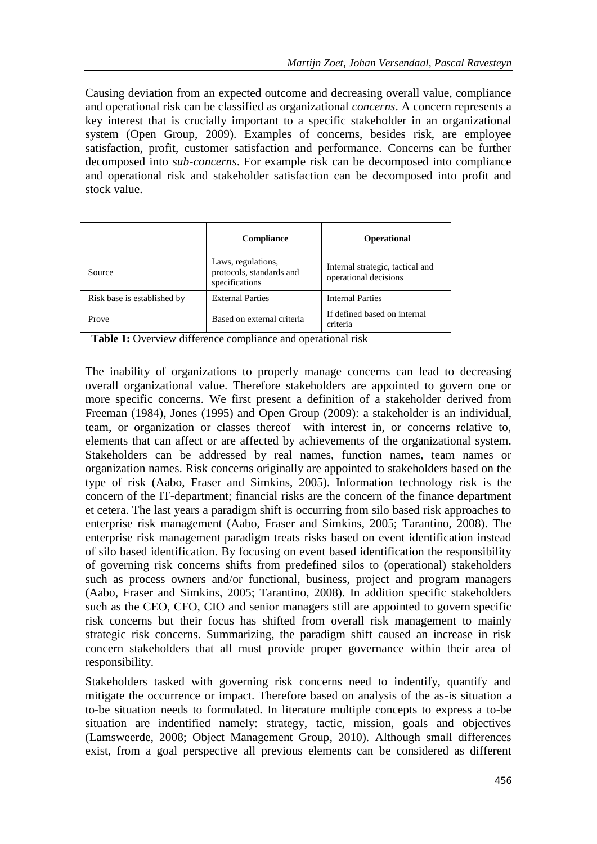Causing deviation from an expected outcome and decreasing overall value, compliance and operational risk can be classified as organizational *concerns*. A concern represents a key interest that is crucially important to a specific stakeholder in an organizational system (Open Group, 2009). Examples of concerns, besides risk, are employee satisfaction, profit, customer satisfaction and performance. Concerns can be further decomposed into *sub-concerns*. For example risk can be decomposed into compliance and operational risk and stakeholder satisfaction can be decomposed into profit and stock value.

|                             | <b>Compliance</b>                                                | <b>Operational</b>                                        |  |
|-----------------------------|------------------------------------------------------------------|-----------------------------------------------------------|--|
| Source                      | Laws, regulations,<br>protocols, standards and<br>specifications | Internal strategic, tactical and<br>operational decisions |  |
| Risk base is established by | <b>External Parties</b>                                          | <b>Internal Parties</b>                                   |  |
| Prove                       | Based on external criteria                                       | If defined based on internal<br>criteria                  |  |

Table 1: Overview difference compliance and operational risk

The inability of organizations to properly manage concerns can lead to decreasing overall organizational value. Therefore stakeholders are appointed to govern one or more specific concerns. We first present a definition of a stakeholder derived from Freeman (1984), Jones (1995) and Open Group (2009): a stakeholder is an individual, team, or organization or classes thereof with interest in, or concerns relative to, elements that can affect or are affected by achievements of the organizational system. Stakeholders can be addressed by real names, function names, team names or organization names. Risk concerns originally are appointed to stakeholders based on the type of risk (Aabo, Fraser and Simkins, 2005). Information technology risk is the concern of the IT-department; financial risks are the concern of the finance department et cetera. The last years a paradigm shift is occurring from silo based risk approaches to enterprise risk management (Aabo, Fraser and Simkins, 2005; Tarantino, 2008). The enterprise risk management paradigm treats risks based on event identification instead of silo based identification. By focusing on event based identification the responsibility of governing risk concerns shifts from predefined silos to (operational) stakeholders such as process owners and/or functional, business, project and program managers (Aabo, Fraser and Simkins, 2005; Tarantino, 2008). In addition specific stakeholders such as the CEO, CFO, CIO and senior managers still are appointed to govern specific risk concerns but their focus has shifted from overall risk management to mainly strategic risk concerns. Summarizing, the paradigm shift caused an increase in risk concern stakeholders that all must provide proper governance within their area of responsibility.

Stakeholders tasked with governing risk concerns need to indentify, quantify and mitigate the occurrence or impact. Therefore based on analysis of the as-is situation a to-be situation needs to formulated. In literature multiple concepts to express a to-be situation are indentified namely: strategy, tactic, mission, goals and objectives (Lamsweerde, 2008; Object Management Group, 2010). Although small differences exist, from a goal perspective all previous elements can be considered as different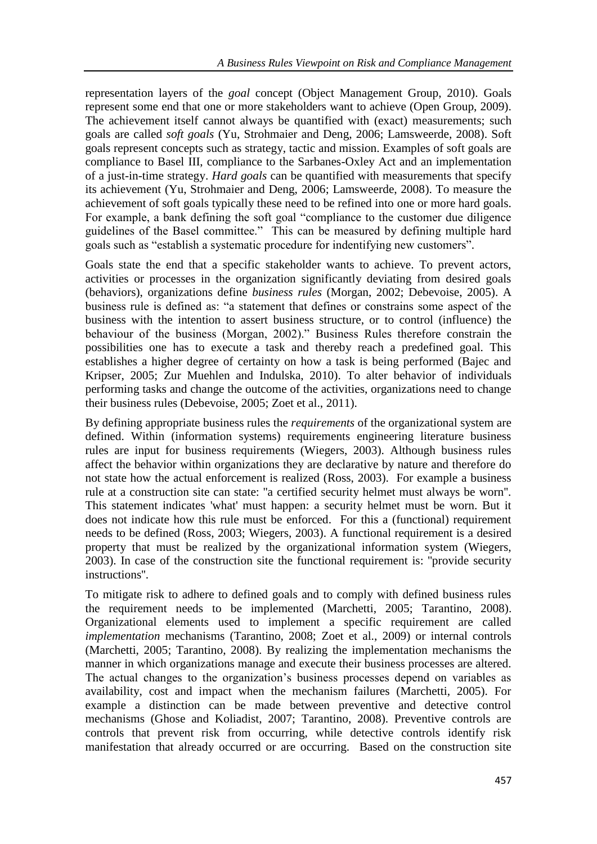representation layers of the *goal* concept (Object Management Group, 2010). Goals represent some end that one or more stakeholders want to achieve (Open Group, 2009). The achievement itself cannot always be quantified with (exact) measurements; such goals are called *soft goals* (Yu, Strohmaier and Deng, 2006; Lamsweerde, 2008). Soft goals represent concepts such as strategy, tactic and mission. Examples of soft goals are compliance to Basel III, compliance to the Sarbanes-Oxley Act and an implementation of a just-in-time strategy. *Hard goals* can be quantified with measurements that specify its achievement (Yu, Strohmaier and Deng, 2006; Lamsweerde, 2008). To measure the achievement of soft goals typically these need to be refined into one or more hard goals. For example, a bank defining the soft goal "compliance to the customer due diligence guidelines of the Basel committee." This can be measured by defining multiple hard goals such as "establish a systematic procedure for indentifying new customers".

Goals state the end that a specific stakeholder wants to achieve. To prevent actors, activities or processes in the organization significantly deviating from desired goals (behaviors), organizations define *business rules* (Morgan, 2002; Debevoise, 2005). A business rule is defined as: "a statement that defines or constrains some aspect of the business with the intention to assert business structure, or to control (influence) the behaviour of the business (Morgan, 2002)." Business Rules therefore constrain the possibilities one has to execute a task and thereby reach a predefined goal. This establishes a higher degree of certainty on how a task is being performed (Bajec and Kripser, 2005; Zur Muehlen and Indulska, 2010). To alter behavior of individuals performing tasks and change the outcome of the activities, organizations need to change their business rules (Debevoise, 2005; Zoet et al., 2011).

By defining appropriate business rules the *requirements* of the organizational system are defined. Within (information systems) requirements engineering literature business rules are input for business requirements (Wiegers, 2003). Although business rules affect the behavior within organizations they are declarative by nature and therefore do not state how the actual enforcement is realized (Ross, 2003). For example a business rule at a construction site can state: ''a certified security helmet must always be worn''. This statement indicates 'what' must happen: a security helmet must be worn. But it does not indicate how this rule must be enforced. For this a (functional) requirement needs to be defined (Ross, 2003; Wiegers, 2003). A functional requirement is a desired property that must be realized by the organizational information system (Wiegers, 2003). In case of the construction site the functional requirement is: ''provide security instructions''.

To mitigate risk to adhere to defined goals and to comply with defined business rules the requirement needs to be implemented (Marchetti, 2005; Tarantino, 2008). Organizational elements used to implement a specific requirement are called *implementation* mechanisms (Tarantino, 2008; Zoet et al., 2009) or internal controls (Marchetti, 2005; Tarantino, 2008). By realizing the implementation mechanisms the manner in which organizations manage and execute their business processes are altered. The actual changes to the organization"s business processes depend on variables as availability, cost and impact when the mechanism failures (Marchetti, 2005). For example a distinction can be made between preventive and detective control mechanisms (Ghose and Koliadist, 2007; Tarantino, 2008). Preventive controls are controls that prevent risk from occurring, while detective controls identify risk manifestation that already occurred or are occurring. Based on the construction site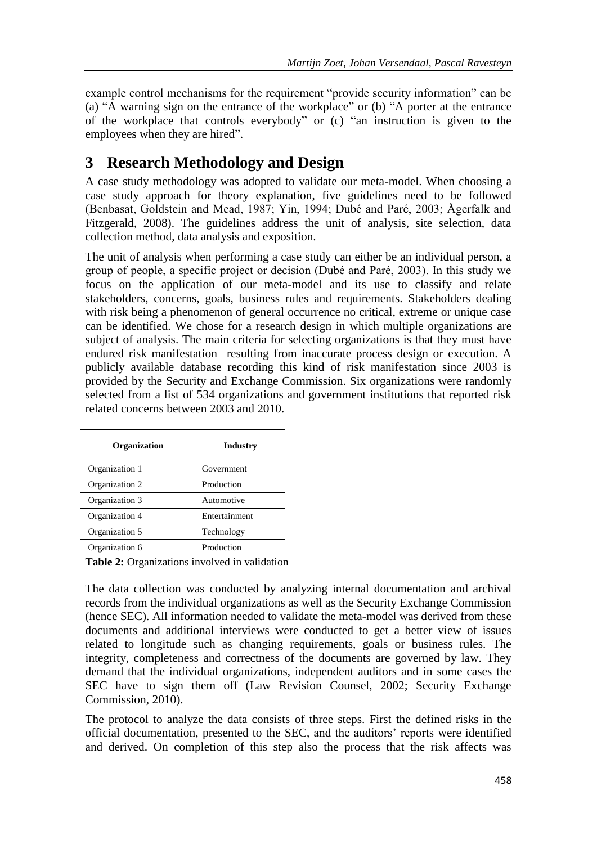example control mechanisms for the requirement "provide security information" can be (a) "A warning sign on the entrance of the workplace" or (b) "A porter at the entrance of the workplace that controls everybody" or (c) "an instruction is given to the employees when they are hired".

# **3 Research Methodology and Design**

A case study methodology was adopted to validate our meta-model. When choosing a case study approach for theory explanation, five guidelines need to be followed (Benbasat, Goldstein and Mead, 1987; Yin, 1994; Dubé and Paré, 2003; Ågerfalk and Fitzgerald, 2008). The guidelines address the unit of analysis, site selection, data collection method, data analysis and exposition.

The unit of analysis when performing a case study can either be an individual person, a group of people, a specific project or decision (Dubé and Paré, 2003). In this study we focus on the application of our meta-model and its use to classify and relate stakeholders, concerns, goals, business rules and requirements. Stakeholders dealing with risk being a phenomenon of general occurrence no critical, extreme or unique case can be identified. We chose for a research design in which multiple organizations are subject of analysis. The main criteria for selecting organizations is that they must have endured risk manifestation resulting from inaccurate process design or execution. A publicly available database recording this kind of risk manifestation since 2003 is provided by the Security and Exchange Commission. Six organizations were randomly selected from a list of 534 organizations and government institutions that reported risk related concerns between 2003 and 2010.

| <b>Organization</b> | Industry      |  |
|---------------------|---------------|--|
| Organization 1      | Government    |  |
| Organization 2      | Production    |  |
| Organization 3      | Automotive    |  |
| Organization 4      | Entertainment |  |
| Organization 5      | Technology    |  |
| Organization 6      | Production    |  |

**Table 2:** Organizations involved in validation

The data collection was conducted by analyzing internal documentation and archival records from the individual organizations as well as the Security Exchange Commission (hence SEC). All information needed to validate the meta-model was derived from these documents and additional interviews were conducted to get a better view of issues related to longitude such as changing requirements, goals or business rules. The integrity, completeness and correctness of the documents are governed by law. They demand that the individual organizations, independent auditors and in some cases the SEC have to sign them off (Law Revision Counsel, 2002; Security Exchange Commission, 2010).

The protocol to analyze the data consists of three steps. First the defined risks in the official documentation, presented to the SEC, and the auditors" reports were identified and derived. On completion of this step also the process that the risk affects was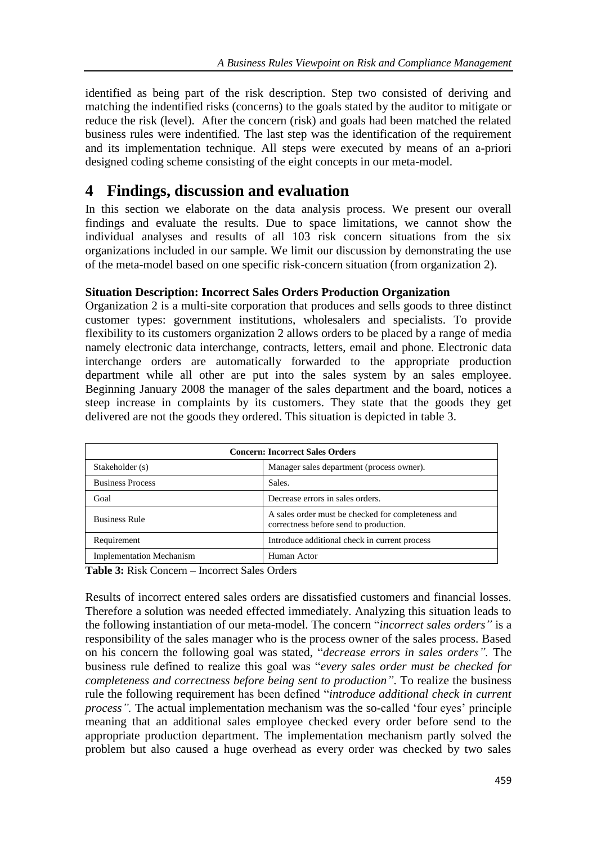identified as being part of the risk description. Step two consisted of deriving and matching the indentified risks (concerns) to the goals stated by the auditor to mitigate or reduce the risk (level). After the concern (risk) and goals had been matched the related business rules were indentified. The last step was the identification of the requirement and its implementation technique. All steps were executed by means of an a-priori designed coding scheme consisting of the eight concepts in our meta-model.

### **4 Findings, discussion and evaluation**

In this section we elaborate on the data analysis process. We present our overall findings and evaluate the results. Due to space limitations, we cannot show the individual analyses and results of all 103 risk concern situations from the six organizations included in our sample. We limit our discussion by demonstrating the use of the meta-model based on one specific risk-concern situation (from organization 2).

### **Situation Description: Incorrect Sales Orders Production Organization**

Organization 2 is a multi-site corporation that produces and sells goods to three distinct customer types: government institutions, wholesalers and specialists. To provide flexibility to its customers organization 2 allows orders to be placed by a range of media namely electronic data interchange, contracts, letters, email and phone. Electronic data interchange orders are automatically forwarded to the appropriate production department while all other are put into the sales system by an sales employee. Beginning January 2008 the manager of the sales department and the board, notices a steep increase in complaints by its customers. They state that the goods they get delivered are not the goods they ordered. This situation is depicted in table 3.

| <b>Concern: Incorrect Sales Orders</b> |                                                                                              |  |  |
|----------------------------------------|----------------------------------------------------------------------------------------------|--|--|
| Stakeholder (s)                        | Manager sales department (process owner).                                                    |  |  |
| <b>Business Process</b>                | Sales.                                                                                       |  |  |
| Goal                                   | Decrease errors in sales orders.                                                             |  |  |
| <b>Business Rule</b>                   | A sales order must be checked for completeness and<br>correctness before send to production. |  |  |
| Requirement                            | Introduce additional check in current process                                                |  |  |
| <b>Implementation Mechanism</b>        | Human Actor                                                                                  |  |  |

**Table 3:** Risk Concern – Incorrect Sales Orders

Results of incorrect entered sales orders are dissatisfied customers and financial losses. Therefore a solution was needed effected immediately. Analyzing this situation leads to the following instantiation of our meta-model. The concern "*incorrect sales orders"* is a responsibility of the sales manager who is the process owner of the sales process. Based on his concern the following goal was stated, "*decrease errors in sales orders".* The business rule defined to realize this goal was "*every sales order must be checked for completeness and correctness before being sent to production"*. To realize the business rule the following requirement has been defined "*introduce additional check in current process*". The actual implementation mechanism was the so-called 'four eyes' principle meaning that an additional sales employee checked every order before send to the appropriate production department. The implementation mechanism partly solved the problem but also caused a huge overhead as every order was checked by two sales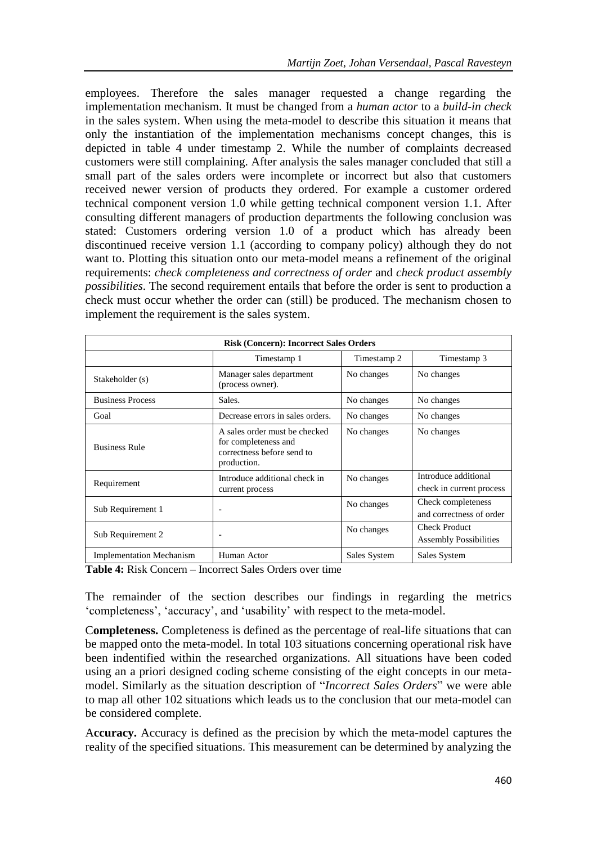employees. Therefore the sales manager requested a change regarding the implementation mechanism. It must be changed from a *human actor* to a *build-in check* in the sales system. When using the meta-model to describe this situation it means that only the instantiation of the implementation mechanisms concept changes, this is depicted in table 4 under timestamp 2. While the number of complaints decreased customers were still complaining. After analysis the sales manager concluded that still a small part of the sales orders were incomplete or incorrect but also that customers received newer version of products they ordered. For example a customer ordered technical component version 1.0 while getting technical component version 1.1. After consulting different managers of production departments the following conclusion was stated: Customers ordering version 1.0 of a product which has already been discontinued receive version 1.1 (according to company policy) although they do not want to. Plotting this situation onto our meta-model means a refinement of the original requirements: *check completeness and correctness of order* and *check product assembly possibilities*. The second requirement entails that before the order is sent to production a check must occur whether the order can (still) be produced. The mechanism chosen to implement the requirement is the sales system.

| <b>Risk (Concern): Incorrect Sales Orders</b> |                                                                                                    |              |                                                       |  |  |
|-----------------------------------------------|----------------------------------------------------------------------------------------------------|--------------|-------------------------------------------------------|--|--|
|                                               | Timestamp 1                                                                                        | Timestamp 2  | Timestamp 3                                           |  |  |
| Stakeholder (s)                               | Manager sales department<br>(process owner).                                                       | No changes   | No changes                                            |  |  |
| <b>Business Process</b>                       | Sales.                                                                                             | No changes   | No changes                                            |  |  |
| Goal                                          | Decrease errors in sales orders.                                                                   | No changes   | No changes                                            |  |  |
| <b>Business Rule</b>                          | A sales order must be checked<br>for completeness and<br>correctness before send to<br>production. | No changes   | No changes                                            |  |  |
| Requirement                                   | Introduce additional check in<br>current process                                                   | No changes   | Introduce additional<br>check in current process      |  |  |
| Sub Requirement 1                             | $\overline{\phantom{a}}$                                                                           | No changes   | Check completeness<br>and correctness of order        |  |  |
| Sub Requirement 2                             |                                                                                                    | No changes   | <b>Check Product</b><br><b>Assembly Possibilities</b> |  |  |
| <b>Implementation Mechanism</b>               | Human Actor                                                                                        | Sales System | Sales System                                          |  |  |

**Table 4:** Risk Concern – Incorrect Sales Orders over time

The remainder of the section describes our findings in regarding the metrics "completeness", "accuracy", and "usability" with respect to the meta-model.

C**ompleteness.** Completeness is defined as the percentage of real-life situations that can be mapped onto the meta-model. In total 103 situations concerning operational risk have been indentified within the researched organizations. All situations have been coded using an a priori designed coding scheme consisting of the eight concepts in our metamodel. Similarly as the situation description of "*Incorrect Sales Orders*" we were able to map all other 102 situations which leads us to the conclusion that our meta-model can be considered complete.

A**ccuracy.** Accuracy is defined as the precision by which the meta-model captures the reality of the specified situations. This measurement can be determined by analyzing the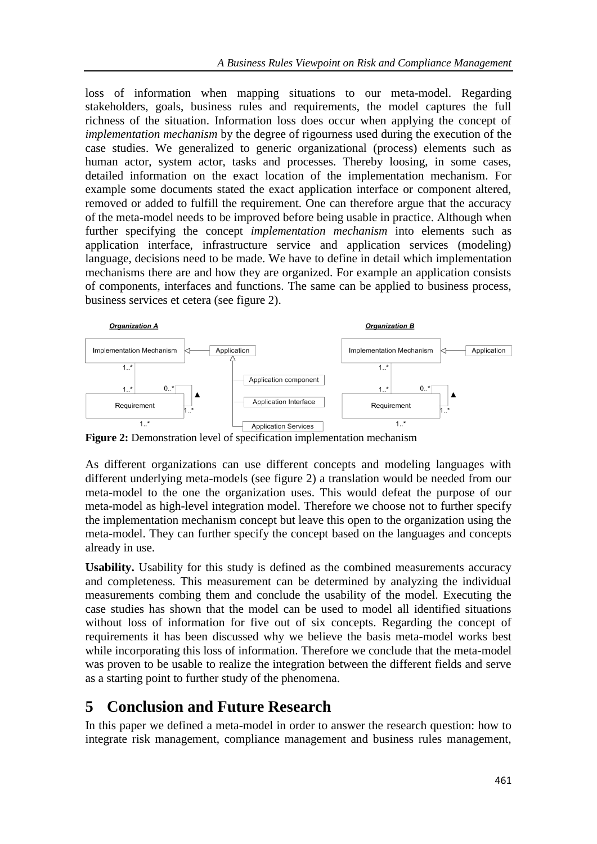loss of information when mapping situations to our meta-model. Regarding stakeholders, goals, business rules and requirements, the model captures the full richness of the situation. Information loss does occur when applying the concept of *implementation mechanism* by the degree of rigourness used during the execution of the case studies. We generalized to generic organizational (process) elements such as human actor, system actor, tasks and processes. Thereby loosing, in some cases, detailed information on the exact location of the implementation mechanism. For example some documents stated the exact application interface or component altered, removed or added to fulfill the requirement. One can therefore argue that the accuracy of the meta-model needs to be improved before being usable in practice. Although when further specifying the concept *implementation mechanism* into elements such as application interface, infrastructure service and application services (modeling) language, decisions need to be made. We have to define in detail which implementation mechanisms there are and how they are organized. For example an application consists of components, interfaces and functions. The same can be applied to business process, business services et cetera (see figure 2).



**Figure 2:** Demonstration level of specification implementation mechanism

As different organizations can use different concepts and modeling languages with different underlying meta-models (see figure 2) a translation would be needed from our meta-model to the one the organization uses. This would defeat the purpose of our meta-model as high-level integration model. Therefore we choose not to further specify the implementation mechanism concept but leave this open to the organization using the meta-model. They can further specify the concept based on the languages and concepts already in use.

**Usability.** Usability for this study is defined as the combined measurements accuracy and completeness. This measurement can be determined by analyzing the individual measurements combing them and conclude the usability of the model. Executing the case studies has shown that the model can be used to model all identified situations without loss of information for five out of six concepts. Regarding the concept of requirements it has been discussed why we believe the basis meta-model works best while incorporating this loss of information. Therefore we conclude that the meta-model was proven to be usable to realize the integration between the different fields and serve as a starting point to further study of the phenomena.

# **5 Conclusion and Future Research**

In this paper we defined a meta-model in order to answer the research question: how to integrate risk management, compliance management and business rules management,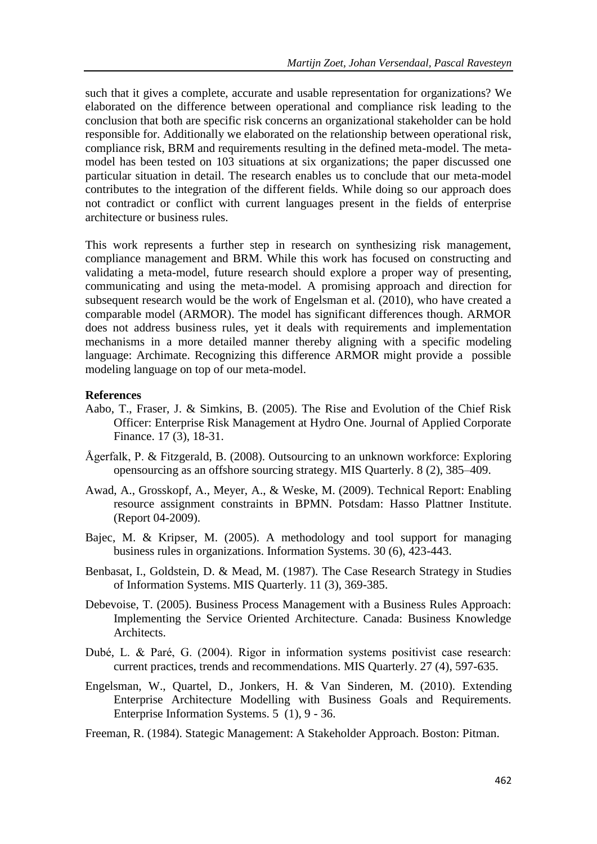such that it gives a complete, accurate and usable representation for organizations? We elaborated on the difference between operational and compliance risk leading to the conclusion that both are specific risk concerns an organizational stakeholder can be hold responsible for. Additionally we elaborated on the relationship between operational risk, compliance risk, BRM and requirements resulting in the defined meta-model. The metamodel has been tested on 103 situations at six organizations; the paper discussed one particular situation in detail. The research enables us to conclude that our meta-model contributes to the integration of the different fields. While doing so our approach does not contradict or conflict with current languages present in the fields of enterprise architecture or business rules.

This work represents a further step in research on synthesizing risk management, compliance management and BRM. While this work has focused on constructing and validating a meta-model, future research should explore a proper way of presenting, communicating and using the meta-model. A promising approach and direction for subsequent research would be the work of Engelsman et al. (2010), who have created a comparable model (ARMOR). The model has significant differences though. ARMOR does not address business rules, yet it deals with requirements and implementation mechanisms in a more detailed manner thereby aligning with a specific modeling language: Archimate. Recognizing this difference ARMOR might provide a possible modeling language on top of our meta-model.

#### **References**

- Aabo, T., Fraser, J. & Simkins, B. (2005). The Rise and Evolution of the Chief Risk Officer: Enterprise Risk Management at Hydro One. Journal of Applied Corporate Finance. 17 (3), 18-31.
- Ågerfalk, P. & Fitzgerald, B. (2008). Outsourcing to an unknown workforce: Exploring opensourcing as an offshore sourcing strategy. MIS Quarterly. 8 (2), 385–409.
- Awad, A., Grosskopf, A., Meyer, A., & Weske, M. (2009). Technical Report: Enabling resource assignment constraints in BPMN. Potsdam: Hasso Plattner Institute. (Report 04-2009).
- Bajec, M. & Kripser, M. (2005). A methodology and tool support for managing business rules in organizations. Information Systems. 30 (6), 423-443.
- Benbasat, I., Goldstein, D. & Mead, M. (1987). The Case Research Strategy in Studies of Information Systems. MIS Quarterly. 11 (3), 369-385.
- Debevoise, T. (2005). Business Process Management with a Business Rules Approach: Implementing the Service Oriented Architecture. Canada: Business Knowledge Architects.
- Dubé, L. & Paré, G. (2004). Rigor in information systems positivist case research: current practices, trends and recommendations. MIS Quarterly. 27 (4), 597-635.
- Engelsman, W., Quartel, D., Jonkers, H. & Van Sinderen, M. (2010). Extending Enterprise Architecture Modelling with Business Goals and Requirements. Enterprise Information Systems. 5 (1), 9 - 36.

Freeman, R. (1984). Stategic Management: A Stakeholder Approach. Boston: Pitman.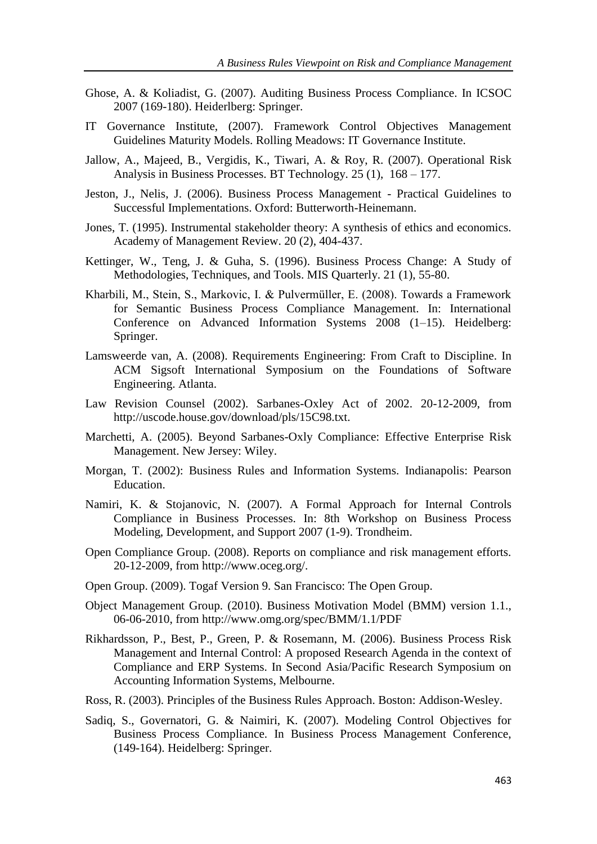- Ghose, A. & Koliadist, G. (2007). Auditing Business Process Compliance. In ICSOC 2007 (169-180). Heiderlberg: Springer.
- IT Governance Institute, (2007). Framework Control Objectives Management Guidelines Maturity Models. Rolling Meadows: IT Governance Institute.
- Jallow, A., Majeed, B., Vergidis, K., Tiwari, A. & Roy, R. (2007). Operational Risk Analysis in Business Processes. BT Technology. 25 (1), 168 – 177.
- Jeston, J., Nelis, J. (2006). Business Process Management Practical Guidelines to Successful Implementations. Oxford: Butterworth-Heinemann.
- Jones, T. (1995). Instrumental stakeholder theory: A synthesis of ethics and economics. Academy of Management Review. 20 (2), 404-437.
- Kettinger, W., Teng, J. & Guha, S. (1996). Business Process Change: A Study of Methodologies, Techniques, and Tools. MIS Quarterly. 21 (1), 55-80.
- Kharbili, M., Stein, S., Markovic, I. & Pulvermüller, E. (2008). Towards a Framework for Semantic Business Process Compliance Management. In: International Conference on Advanced Information Systems 2008 (1–15). Heidelberg: Springer.
- Lamsweerde van, A. (2008). Requirements Engineering: From Craft to Discipline. In ACM Sigsoft International Symposium on the Foundations of Software Engineering. Atlanta.
- Law Revision Counsel (2002). Sarbanes-Oxley Act of 2002. 20-12-2009, from http://uscode.house.gov/download/pls/15C98.txt.
- Marchetti, A. (2005). Beyond Sarbanes-Oxly Compliance: Effective Enterprise Risk Management. New Jersey: Wiley.
- Morgan, T. (2002): Business Rules and Information Systems. Indianapolis: Pearson Education.
- Namiri, K. & Stojanovic, N. (2007). A Formal Approach for Internal Controls Compliance in Business Processes. In: 8th Workshop on Business Process Modeling, Development, and Support 2007 (1-9). Trondheim.
- Open Compliance Group. (2008). Reports on compliance and risk management efforts. 20-12-2009, from http://www.oceg.org/.
- Open Group. (2009). Togaf Version 9. San Francisco: The Open Group.
- Object Management Group. (2010). Business Motivation Model (BMM) version 1.1., 06-06-2010, from http://www.omg.org/spec/BMM/1.1/PDF
- Rikhardsson, P., Best, P., Green, P. & Rosemann, M. (2006). Business Process Risk Management and Internal Control: A proposed Research Agenda in the context of Compliance and ERP Systems. In Second Asia/Pacific Research Symposium on Accounting Information Systems, Melbourne.
- Ross, R. (2003). Principles of the Business Rules Approach. Boston: Addison-Wesley.
- Sadiq, S., Governatori, G. & Naimiri, K. (2007). Modeling Control Objectives for Business Process Compliance. In Business Process Management Conference, (149-164). Heidelberg: Springer.